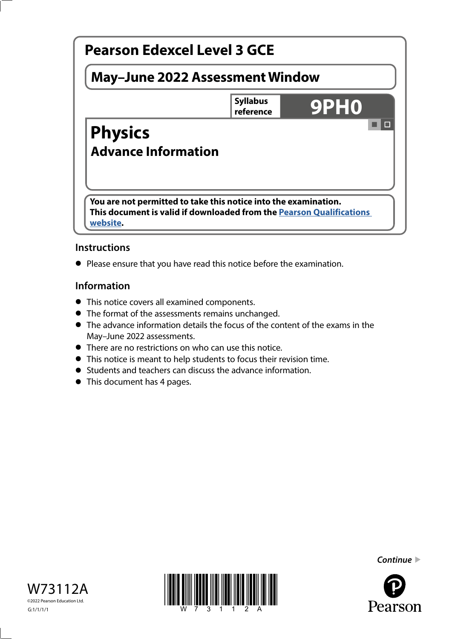

# **Instructions**

**•** Please ensure that you have read this notice before the examination.

## **Information**

- **•** This notice covers all examined components.
- **•** The format of the assessments remains unchanged.
- **•** The advance information details the focus of the content of the exams in the May–June 2022 assessments.
- **•** There are no restrictions on who can use this notice.
- **•** This notice is meant to help students to focus their revision time.
- **•** Students and teachers can discuss the advance information.
- **•** This document has 4 pages.







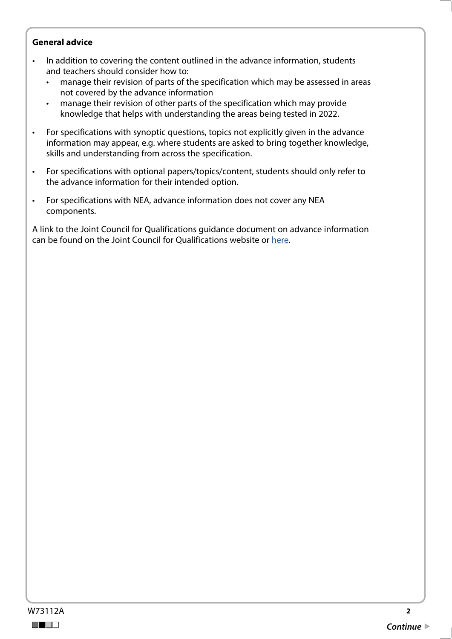#### **General advice**

- In addition to covering the content outlined in the advance information, students and teachers should consider how to:
	- manage their revision of parts of the specification which may be assessed in areas not covered by the advance information
	- manage their revision of other parts of the specification which may provide knowledge that helps with understanding the areas being tested in 2022.
- For specifications with synoptic questions, topics not explicitly given in the advance information may appear, e.g. where students are asked to bring together knowledge, skills and understanding from across the specification.
- For specifications with optional papers/topics/content, students should only refer to the advance information for their intended option.
- For specifications with NEA, advance information does not cover any NEA components.

A link to the Joint Council for Qualifications guidance document on advance information can be found on the Joint Council for Qualifications website or [here.](https://www.jcq.org.uk/wp-content/uploads/2021/10/Advance-Information-for-General-Qualifications-2021-22.pdf)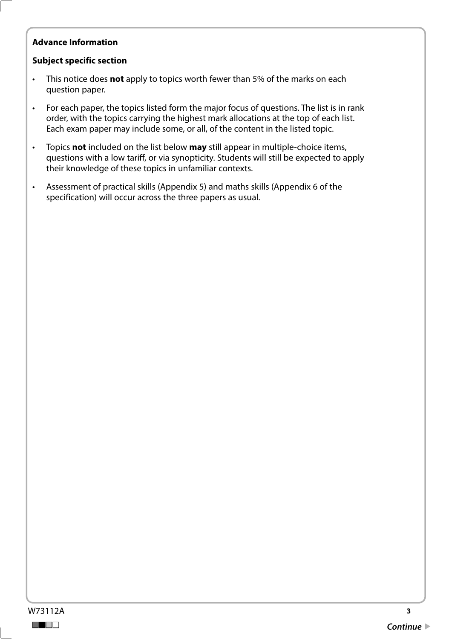# **Advance Information**

#### **Subject specific section**

- This notice does **not** apply to topics worth fewer than 5% of the marks on each question paper.
- For each paper, the topics listed form the major focus of questions. The list is in rank order, with the topics carrying the highest mark allocations at the top of each list. Each exam paper may include some, or all, of the content in the listed topic.
- Topics **not** included on the list below **may** still appear in multiple-choice items, questions with a low tariff, or via synopticity. Students will still be expected to apply their knowledge of these topics in unfamiliar contexts.
- Assessment of practical skills (Appendix 5) and maths skills (Appendix 6 of the specification) will occur across the three papers as usual.